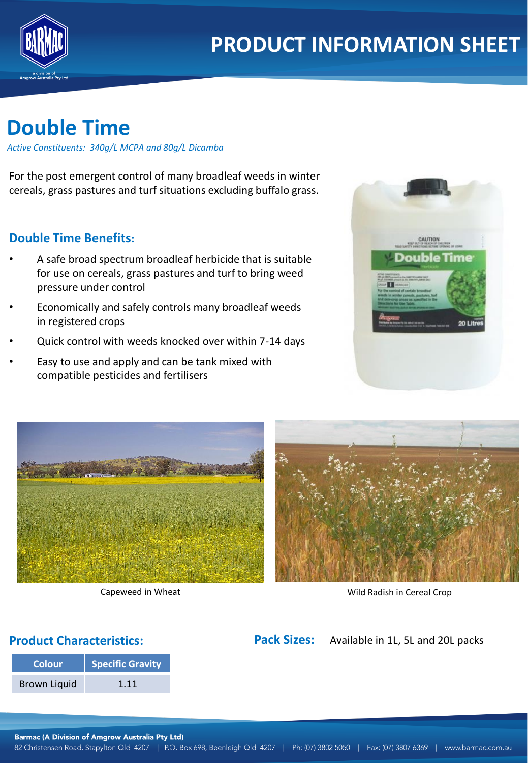

# **Double Time**

*Active Constituents: 340g/L MCPA and 80g/L Dicamba*

For the post emergent control of many broadleaf weeds in winter cereals, grass pastures and turf situations excluding buffalo grass.

## **Double Time Benefits:**

- A safe broad spectrum broadleaf herbicide that is suitable for use on cereals, grass pastures and turf to bring weed pressure under control
- Economically and safely controls many broadleaf weeds in registered crops
- Quick control with weeds knocked over within 7-14 days
- Easy to use and apply and can be tank mixed with compatible pesticides and fertilisers







Capeweed in Wheat Wild Radish in Cereal Crop

## **Product Characteristics:**

| <b>Colour</b>       | Specific Gravity |  |
|---------------------|------------------|--|
| <b>Brown Liquid</b> | 1.11             |  |

Pack Sizes: Available in 1L, 5L and 20L packs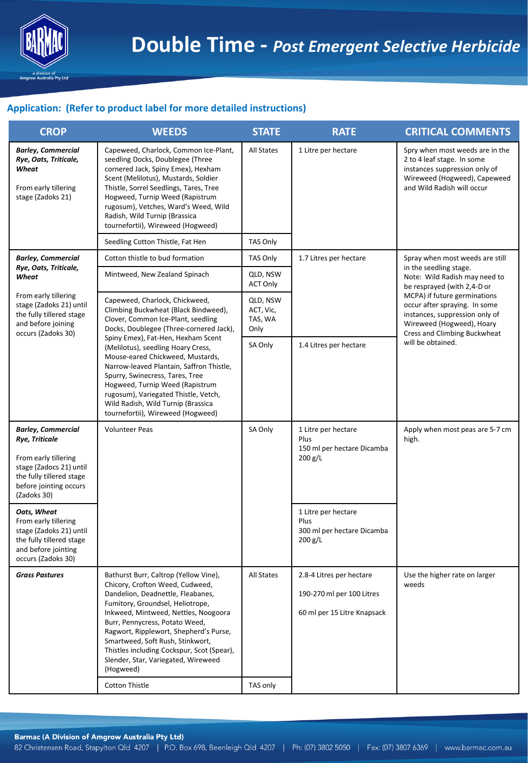

#### **Application: (Refer to product label for more detailed instructions)**

| <b>CROP</b>                                                                                                                                                         | <b>WEEDS</b>                                                                                                                                                                                                                                                                                                                                                                                                | <b>STATE</b>                             | <b>RATE</b>                                                                          | <b>CRITICAL COMMENTS</b>                                                                                                                                                                                                                                                                                       |
|---------------------------------------------------------------------------------------------------------------------------------------------------------------------|-------------------------------------------------------------------------------------------------------------------------------------------------------------------------------------------------------------------------------------------------------------------------------------------------------------------------------------------------------------------------------------------------------------|------------------------------------------|--------------------------------------------------------------------------------------|----------------------------------------------------------------------------------------------------------------------------------------------------------------------------------------------------------------------------------------------------------------------------------------------------------------|
| <b>Barley, Commercial</b><br>Rye, Oats, Triticale,<br>Wheat<br>From early tillering<br>stage (Zadoks 21)                                                            | Capeweed, Charlock, Common Ice-Plant,<br>seedling Docks, Doublegee (Three<br>cornered Jack, Spiny Emex), Hexham<br>Scent (Melilotus), Mustards, Soldier<br>Thistle, Sorrel Seedlings, Tares, Tree<br>Hogweed, Turnip Weed (Rapistrum<br>rugosum), Vetches, Ward's Weed, Wild<br>Radish, Wild Turnip (Brassica<br>tournefortii), Wireweed (Hogweed)                                                          | <b>All States</b>                        | 1 Litre per hectare                                                                  | Spry when most weeds are in the<br>2 to 4 leaf stage. In some<br>instances suppression only of<br>Wireweed (Hogweed), Capeweed<br>and Wild Radish will occur                                                                                                                                                   |
|                                                                                                                                                                     | Seedling Cotton Thistle, Fat Hen                                                                                                                                                                                                                                                                                                                                                                            | TAS Only                                 |                                                                                      |                                                                                                                                                                                                                                                                                                                |
| <b>Barley, Commercial</b><br>Rye, Oats, Triticale,                                                                                                                  | Cotton thistle to bud formation                                                                                                                                                                                                                                                                                                                                                                             | TAS Only                                 | 1.7 Litres per hectare                                                               | Spray when most weeds are still<br>in the seedling stage.<br>Note: Wild Radish may need to<br>be resprayed (with 2,4-D or<br>MCPA) if future germinations<br>occur after spraying. In some<br>instances, suppression only of<br>Wireweed (Hogweed), Hoary<br>Cress and Climbing Buckwheat<br>will be obtained. |
| Wheat<br>From early tillering<br>stage (Zadoks 21) until<br>the fully tillered stage<br>and before joining<br>occurs (Zadoks 30)                                    | Mintweed, New Zealand Spinach                                                                                                                                                                                                                                                                                                                                                                               | QLD, NSW<br><b>ACT Only</b>              |                                                                                      |                                                                                                                                                                                                                                                                                                                |
|                                                                                                                                                                     | Capeweed, Charlock, Chickweed,<br>Climbing Buckwheat (Black Bindweed),<br>Clover, Common Ice-Plant, seedling<br>Docks, Doublegee (Three-cornered Jack),                                                                                                                                                                                                                                                     | QLD, NSW<br>ACT, Vic,<br>TAS, WA<br>Only |                                                                                      |                                                                                                                                                                                                                                                                                                                |
|                                                                                                                                                                     | Spiny Emex), Fat-Hen, Hexham Scent<br>(Melilotus), seedling Hoary Cress,<br>Mouse-eared Chickweed, Mustards,<br>Narrow-leaved Plantain, Saffron Thistle,<br>Spurry, Swinecress, Tares, Tree<br>Hogweed, Turnip Weed (Rapistrum<br>rugosum), Variegated Thistle, Vetch,<br>Wild Radish, Wild Turnip (Brassica<br>tournefortii), Wireweed (Hogweed)                                                           | SA Only                                  | 1.4 Litres per hectare                                                               |                                                                                                                                                                                                                                                                                                                |
| <b>Barley, Commercial</b><br>Rye, Triticale<br>From early tillering<br>stage (Zadocs 21) until<br>the fully tillered stage<br>before jointing occurs<br>(Zadoks 30) | <b>Volunteer Peas</b>                                                                                                                                                                                                                                                                                                                                                                                       | SA Only                                  | 1 Litre per hectare<br>Plus<br>150 ml per hectare Dicamba<br>200 g/L                 | Apply when most peas are 5-7 cm<br>high.                                                                                                                                                                                                                                                                       |
| Oats, Wheat<br>From early tillering<br>stage (Zadoks 21) until<br>the fully tillered stage<br>and before jointing<br>occurs (Zadoks 30)                             |                                                                                                                                                                                                                                                                                                                                                                                                             |                                          | 1 Litre per hectare<br>Plus<br>300 ml per hectare Dicamba<br>$200$ g/L               |                                                                                                                                                                                                                                                                                                                |
| <b>Grass Pastures</b>                                                                                                                                               | Bathurst Burr, Caltrop (Yellow Vine),<br>Chicory, Crofton Weed, Cudweed,<br>Dandelion, Deadnettle, Fleabanes,<br>Fumitory, Groundsel, Heliotrope,<br>Inkweed, Mintweed, Nettles, Noogoora<br>Burr, Pennycress, Potato Weed,<br>Ragwort, Ripplewort, Shepherd's Purse,<br>Smartweed, Soft Rush, Stinkwort,<br>Thistles including Cockspur, Scot (Spear),<br>Slender, Star, Variegated, Wireweed<br>(Hogweed) | All States                               | 2.8-4 Litres per hectare<br>190-270 ml per 100 Litres<br>60 ml per 15 Litre Knapsack | Use the higher rate on larger<br>weeds                                                                                                                                                                                                                                                                         |
|                                                                                                                                                                     | <b>Cotton Thistle</b>                                                                                                                                                                                                                                                                                                                                                                                       | TAS only                                 |                                                                                      |                                                                                                                                                                                                                                                                                                                |